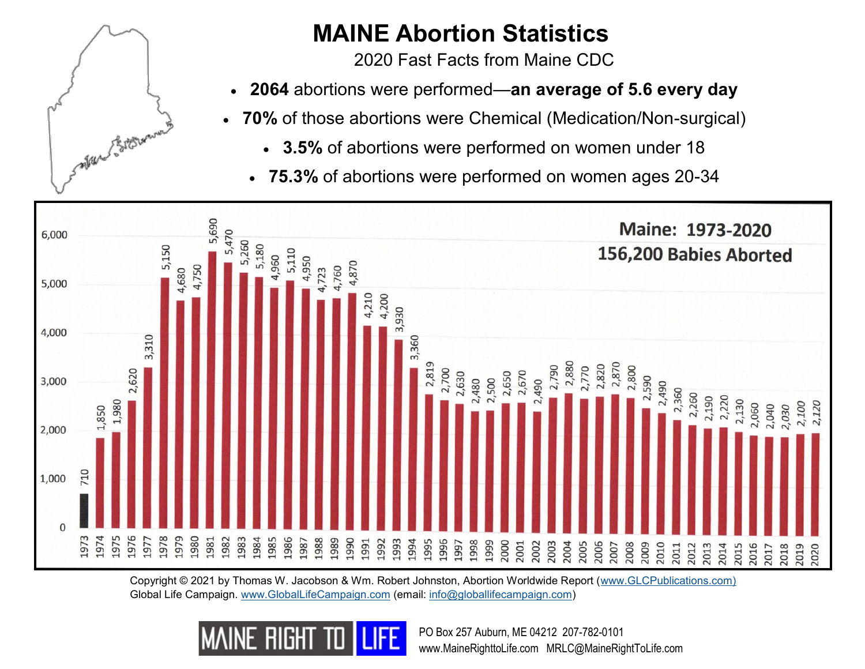

## **MAINE Abortion Statistics**

2020 Fast Facts from Maine CDC

- **2064** abortions were performed—**an average of 5.6 every day**
- **70%** of those abortions were Chemical (Medication/Non-surgical)
	- **3.5%** of abortions were performed on women under 18
	- **75.3%** of abortions were performed on women ages 20-34



Copyright © 2021 by Thomas W. Jacobson & Wm. Robert Johnston, Abortion Worldwide Report ([www.GLCPublications.com\)](http://www.glcpublications.com) Global Life Campaign. [www.GlobalLifeCampaign.com](http://www.globallifecampaign.com) (email: [info@globallifecampaign.com\)](mailto:info@globallifecampaign.com)